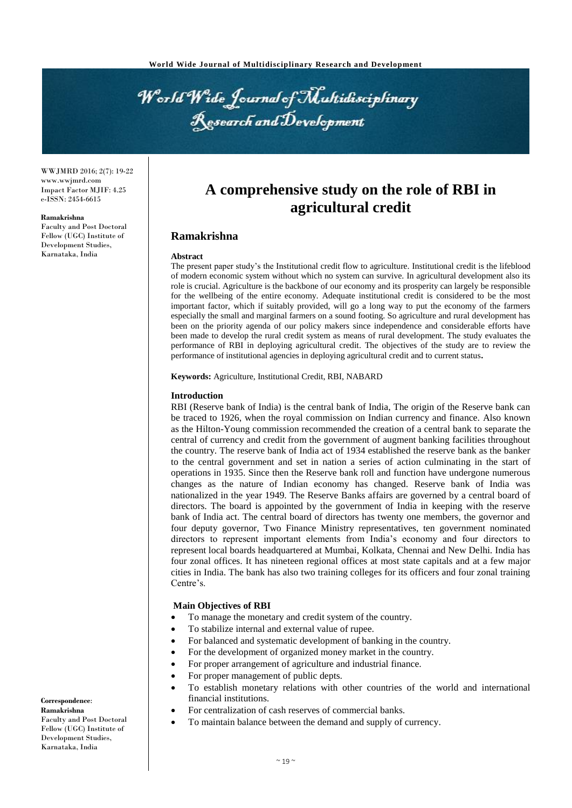World Wide Journal of Multidisciplinary Research and Development

WWJMRD 2016; 2(7): 19-22 www.wwjmrd.com Impact Factor MJIF: 4.25 e-ISSN: 2454-6615

#### **Ramakrishna**

Faculty and Post Doctoral Fellow (UGC) Institute of Development Studies, Karnataka, India

# **A comprehensive study on the role of RBI in agricultural credit**

## **Ramakrishna**

#### **Abstract**

The present paper study's the Institutional credit flow to agriculture. Institutional credit is the lifeblood of modern economic system without which no system can survive. In agricultural development also its role is crucial. Agriculture is the backbone of our economy and its prosperity can largely be responsible for the wellbeing of the entire economy. Adequate institutional credit is considered to be the most important factor, which if suitably provided, will go a long way to put the economy of the farmers especially the small and marginal farmers on a sound footing. So agriculture and rural development has been on the priority agenda of our policy makers since independence and considerable efforts have been made to develop the rural credit system as means of rural development. The study evaluates the performance of RBI in deploying agricultural credit. The objectives of the study are to review the performance of institutional agencies in deploying agricultural credit and to current status**.**

**Keywords:** Agriculture, Institutional Credit, RBI, NABARD

## **Introduction**

RBI (Reserve bank of India) is the central bank of India, The origin of the Reserve bank can be traced to 1926, when the royal commission on Indian currency and finance. Also known as the Hilton-Young commission recommended the creation of a central bank to separate the central of currency and credit from the government of augment banking facilities throughout the country. The reserve bank of India act of 1934 established the reserve bank as the banker to the central government and set in nation a series of action culminating in the start of operations in 1935. Since then the Reserve bank roll and function have undergone numerous changes as the nature of Indian economy has changed. Reserve bank of India was nationalized in the year 1949. The Reserve Banks affairs are governed by a central board of directors. The board is appointed by the government of India in keeping with the reserve bank of India act. The central board of directors has twenty one members, the governor and four deputy governor, Two Finance Ministry representatives, ten government nominated directors to represent important elements from India's economy and four directors to represent local boards headquartered at Mumbai, Kolkata, Chennai and New Delhi. India has four zonal offices. It has nineteen regional offices at most state capitals and at a few major cities in India. The bank has also two training colleges for its officers and four zonal training Centre's.

#### **Main Objectives of RBI**

- To manage the monetary and credit system of the country.
- To stabilize internal and external value of rupee.
- For balanced and systematic development of banking in the country.
- For the development of organized money market in the country.
	- For proper arrangement of agriculture and industrial finance.
- For proper management of public depts.
- To establish monetary relations with other countries of the world and international financial institutions.
- For centralization of cash reserves of commercial banks.
- To maintain balance between the demand and supply of currency.

**Correspondence**: **Ramakrishna** Faculty and Post Doctoral Fellow (UGC) Institute of Development Studies, Karnataka, India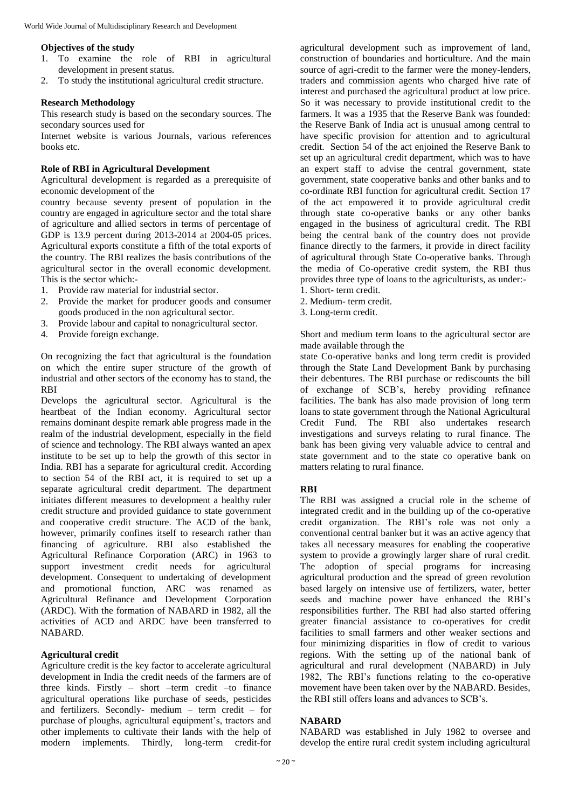#### **Objectives of the study**

- 1. To examine the role of RBI in agricultural development in present status.
- 2. To study the institutional agricultural credit structure.

## **Research Methodology**

This research study is based on the secondary sources. The secondary sources used for

Internet website is various Journals, various references books etc.

#### **Role of RBI in Agricultural Development**

Agricultural development is regarded as a prerequisite of economic development of the

country because seventy present of population in the country are engaged in agriculture sector and the total share of agriculture and allied sectors in terms of percentage of GDP is 13.9 percent during 2013-2014 at 2004-05 prices. Agricultural exports constitute a fifth of the total exports of the country. The RBI realizes the basis contributions of the agricultural sector in the overall economic development. This is the sector which:-

- 1. Provide raw material for industrial sector.
- 2. Provide the market for producer goods and consumer goods produced in the non agricultural sector.
- 3. Provide labour and capital to nonagricultural sector.
- 4. Provide foreign exchange.

On recognizing the fact that agricultural is the foundation on which the entire super structure of the growth of industrial and other sectors of the economy has to stand, the RBI

Develops the agricultural sector. Agricultural is the heartbeat of the Indian economy. Agricultural sector remains dominant despite remark able progress made in the realm of the industrial development, especially in the field of science and technology. The RBI always wanted an apex institute to be set up to help the growth of this sector in India. RBI has a separate for agricultural credit. According to section 54 of the RBI act, it is required to set up a separate agricultural credit department. The department initiates different measures to development a healthy ruler credit structure and provided guidance to state government and cooperative credit structure. The ACD of the bank, however, primarily confines itself to research rather than financing of agriculture. RBI also established the Agricultural Refinance Corporation (ARC) in 1963 to support investment credit needs for agricultural development. Consequent to undertaking of development and promotional function, ARC was renamed as Agricultural Refinance and Development Corporation (ARDC). With the formation of NABARD in 1982, all the activities of ACD and ARDC have been transferred to NABARD.

## **Agricultural credit**

Agriculture credit is the key factor to accelerate agricultural development in India the credit needs of the farmers are of three kinds. Firstly – short –term credit –to finance agricultural operations like purchase of seeds, pesticides and fertilizers. Secondly- medium – term credit – for purchase of ploughs, agricultural equipment's, tractors and other implements to cultivate their lands with the help of modern implements. Thirdly, long-term credit-for

agricultural development such as improvement of land, construction of boundaries and horticulture. And the main source of agri-credit to the farmer were the money-lenders, traders and commission agents who charged hive rate of interest and purchased the agricultural product at low price. So it was necessary to provide institutional credit to the farmers. It was a 1935 that the Reserve Bank was founded: the Reserve Bank of India act is unusual among central to have specific provision for attention and to agricultural credit. Section 54 of the act enjoined the Reserve Bank to set up an agricultural credit department, which was to have an expert staff to advise the central government, state government, state cooperative banks and other banks and to co-ordinate RBI function for agricultural credit. Section 17 of the act empowered it to provide agricultural credit through state co-operative banks or any other banks engaged in the business of agricultural credit. The RBI being the central bank of the country does not provide finance directly to the farmers, it provide in direct facility of agricultural through State Co-operative banks. Through the media of Co-operative credit system, the RBI thus provides three type of loans to the agriculturists, as under:-

- 1. Short- term credit.
- 2. Medium- term credit.
- 3. Long-term credit.

Short and medium term loans to the agricultural sector are made available through the

state Co-operative banks and long term credit is provided through the State Land Development Bank by purchasing their debentures. The RBI purchase or rediscounts the bill of exchange of SCB's, hereby providing refinance facilities. The bank has also made provision of long term loans to state government through the National Agricultural Credit Fund. The RBI also undertakes research investigations and surveys relating to rural finance. The bank has been giving very valuable advice to central and state government and to the state co operative bank on matters relating to rural finance.

#### **RBI**

The RBI was assigned a crucial role in the scheme of integrated credit and in the building up of the co-operative credit organization. The RBI's role was not only a conventional central banker but it was an active agency that takes all necessary measures for enabling the cooperative system to provide a growingly larger share of rural credit. The adoption of special programs for increasing agricultural production and the spread of green revolution based largely on intensive use of fertilizers, water, better seeds and machine power have enhanced the RBI's responsibilities further. The RBI had also started offering greater financial assistance to co-operatives for credit facilities to small farmers and other weaker sections and four minimizing disparities in flow of credit to various regions. With the setting up of the national bank of agricultural and rural development (NABARD) in July 1982, The RBI's functions relating to the co-operative movement have been taken over by the NABARD. Besides, the RBI still offers loans and advances to SCB's.

## **NABARD**

NABARD was established in July 1982 to oversee and develop the entire rural credit system including agricultural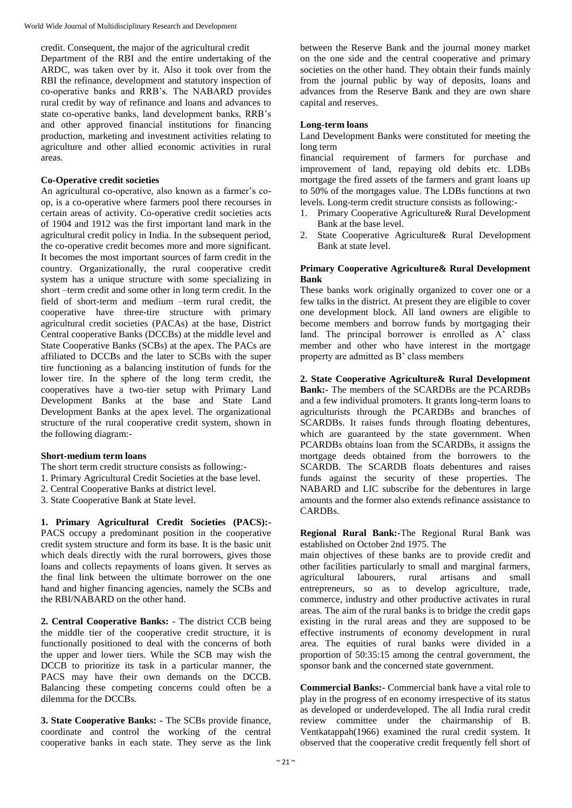credit. Consequent, the major of the agricultural credit Department of the RBI and the entire undertaking of the ARDC, was taken over by it. Also it took over from the RBI the refinance, development and statutory inspection of co-operative banks and RRB's. The NABARD provides rural credit by way of refinance and loans and advances to state co-operative banks, land development banks, RRB's and other approved financial institutions for financing production, marketing and investment activities relating to agriculture and other allied economic activities in rural

## **Co-Operative credit societies**

areas.

An agricultural co-operative, also known as a farmer's coop, is a co-operative where farmers pool there recourses in certain areas of activity. Co-operative credit societies acts of 1904 and 1912 was the first important land mark in the agricultural credit policy in India. In the subsequent period, the co-operative credit becomes more and more significant. It becomes the most important sources of farm credit in the country. Organizationally, the rural cooperative credit system has a unique structure with some specializing in short –term credit and some other in long term credit. In the field of short-term and medium –term rural credit, the cooperative have three-tire structure with primary agricultural credit societies (PACAs) at the base, District Central cooperative Banks (DCCBs) at the middle level and State Cooperative Banks (SCBs) at the apex. The PACs are affiliated to DCCBs and the later to SCBs with the super tire functioning as a balancing institution of funds for the lower tire. In the sphere of the long term credit, the cooperatives have a two-tier setup with Primary Land Development Banks at the base and State Land Development Banks at the apex level. The organizational structure of the rural cooperative credit system, shown in the following diagram:-

## **Short-medium term loans**

- The short term credit structure consists as following:-
- 1. Primary Agricultural Credit Societies at the base level.
- 2. Central Cooperative Banks at district level.
- 3. State Cooperative Bank at State level.

**1. Primary Agricultural Credit Societies (PACS):-** PACS occupy a predominant position in the cooperative credit system structure and form its base. It is the basic unit which deals directly with the rural borrowers, gives those loans and collects repayments of loans given. It serves as the final link between the ultimate borrower on the one hand and higher financing agencies, namely the SCBs and the RBI/NABARD on the other hand.

**2. Central Cooperative Banks:** - The district CCB being the middle tier of the cooperative credit structure, it is functionally positioned to deal with the concerns of both the upper and lower tiers. While the SCB may wish the DCCB to prioritize its task in a particular manner, the PACS may have their own demands on the DCCB. Balancing these competing concerns could often be a dilemma for the DCCBs.

**3. State Cooperative Banks: -** The SCBs provide finance, coordinate and control the working of the central cooperative banks in each state. They serve as the link between the Reserve Bank and the journal money market on the one side and the central cooperative and primary societies on the other hand. They obtain their funds mainly from the journal public by way of deposits, loans and advances from the Reserve Bank and they are own share capital and reserves.

## **Long-term loans**

Land Development Banks were constituted for meeting the long term

financial requirement of farmers for purchase and improvement of land, repaying old debits etc. LDBs mortgage the fired assets of the farmers and grant loans up to 50% of the mortgages value. The LDBs functions at two levels. Long-term credit structure consists as following:-

- 1. Primary Cooperative Agriculture& Rural Development Bank at the base level.
- 2. State Cooperative Agriculture& Rural Development Bank at state level.

## **Primary Cooperative Agriculture& Rural Development Bank**

These banks work originally organized to cover one or a few talks in the district. At present they are eligible to cover one development block. All land owners are eligible to become members and borrow funds by mortgaging their land. The principal borrower is enrolled as A' class member and other who have interest in the mortgage property are admitted as B' class members

**2. State Cooperative Agriculture& Rural Development Bank:-** The members of the SCARDBs are the PCARDBs and a few individual promoters. It grants long-term loans to agriculturists through the PCARDBs and branches of SCARDBs. It raises funds through floating debentures, which are guaranteed by the state government. When PCARDBs obtains loan from the SCARDBs, it assigns the mortgage deeds obtained from the borrowers to the SCARDB. The SCARDB floats debentures and raises funds against the security of these properties. The NABARD and LIC subscribe for the debentures in large amounts and the former also extends refinance assistance to CARDBs.

**Regional Rural Bank:-**The Regional Rural Bank was established on October 2nd 1975. The

main objectives of these banks are to provide credit and other facilities particularly to small and marginal farmers, agricultural labourers, rural artisans and small entrepreneurs, so as to develop agriculture, trade, commerce, industry and other productive activates in rural areas. The aim of the rural banks is to bridge the credit gaps existing in the rural areas and they are supposed to be effective instruments of economy development in rural area. The equities of rural banks were divided in a proportion of 50:35:15 among the central government, the sponsor bank and the concerned state government.

**Commercial Banks:-** Commercial bank have a vital role to play in the progress of en economy irrespective of its status as developed or underdeveloped. The all India rural credit review committee under the chairmanship of B. Ventkatappah(1966) examined the rural credit system. It observed that the cooperative credit frequently fell short of